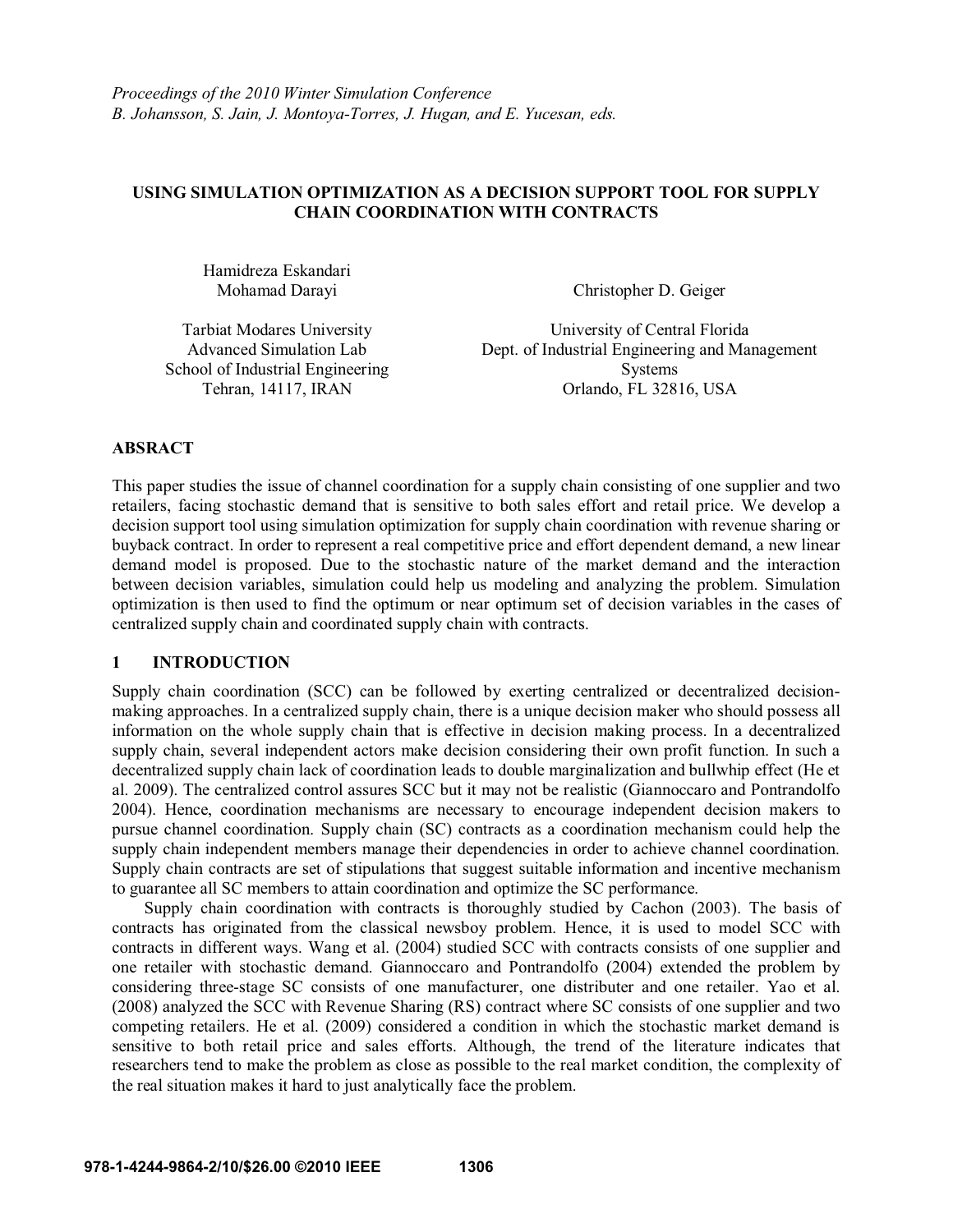# **USING SIMULATION OPTIMIZATION AS A DECISION SUPPORT TOOL FOR SUPPLY CHAIN COORDINATION WITH CONTRACTS**

Hamidreza Eskandari

Mohamad Darayi Christopher D. Geiger

Tarbiat Modares University Advanced Simulation Lab School of Industrial Engineering

University of Central Florida Dept. of Industrial Engineering and Management Systems Tehran, 14117, IRAN Orlando, FL 32816, USA

## **ABSRACT**

This paper studies the issue of channel coordination for a supply chain consisting of one supplier and two retailers, facing stochastic demand that is sensitive to both sales effort and retail price. We develop a decision support tool using simulation optimization for supply chain coordination with revenue sharing or buyback contract. In order to represent a real competitive price and effort dependent demand, a new linear demand model is proposed. Due to the stochastic nature of the market demand and the interaction between decision variables, simulation could help us modeling and analyzing the problem. Simulation optimization is then used to find the optimum or near optimum set of decision variables in the cases of centralized supply chain and coordinated supply chain with contracts.

## **1 INTRODUCTION**

Supply chain coordination (SCC) can be followed by exerting centralized or decentralized decisionmaking approaches. In a centralized supply chain, there is a unique decision maker who should possess all information on the whole supply chain that is effective in decision making process. In a decentralized supply chain, several independent actors make decision considering their own profit function. In such a decentralized supply chain lack of coordination leads to double marginalization and bullwhip effect (He et al. 2009). The centralized control assures SCC but it may not be realistic (Giannoccaro and Pontrandolfo 2004). Hence, coordination mechanisms are necessary to encourage independent decision makers to pursue channel coordination. Supply chain (SC) contracts as a coordination mechanism could help the supply chain independent members manage their dependencies in order to achieve channel coordination. Supply chain contracts are set of stipulations that suggest suitable information and incentive mechanism to guarantee all SC members to attain coordination and optimize the SC performance.

 Supply chain coordination with contracts is thoroughly studied by Cachon (2003). The basis of contracts has originated from the classical newsboy problem. Hence, it is used to model SCC with contracts in different ways. Wang et al. (2004) studied SCC with contracts consists of one supplier and one retailer with stochastic demand. Giannoccaro and Pontrandolfo (2004) extended the problem by considering three-stage SC consists of one manufacturer, one distributer and one retailer. Yao et al. (2008) analyzed the SCC with Revenue Sharing (RS) contract where SC consists of one supplier and two competing retailers. He et al. (2009) considered a condition in which the stochastic market demand is sensitive to both retail price and sales efforts. Although, the trend of the literature indicates that researchers tend to make the problem as close as possible to the real market condition, the complexity of the real situation makes it hard to just analytically face the problem.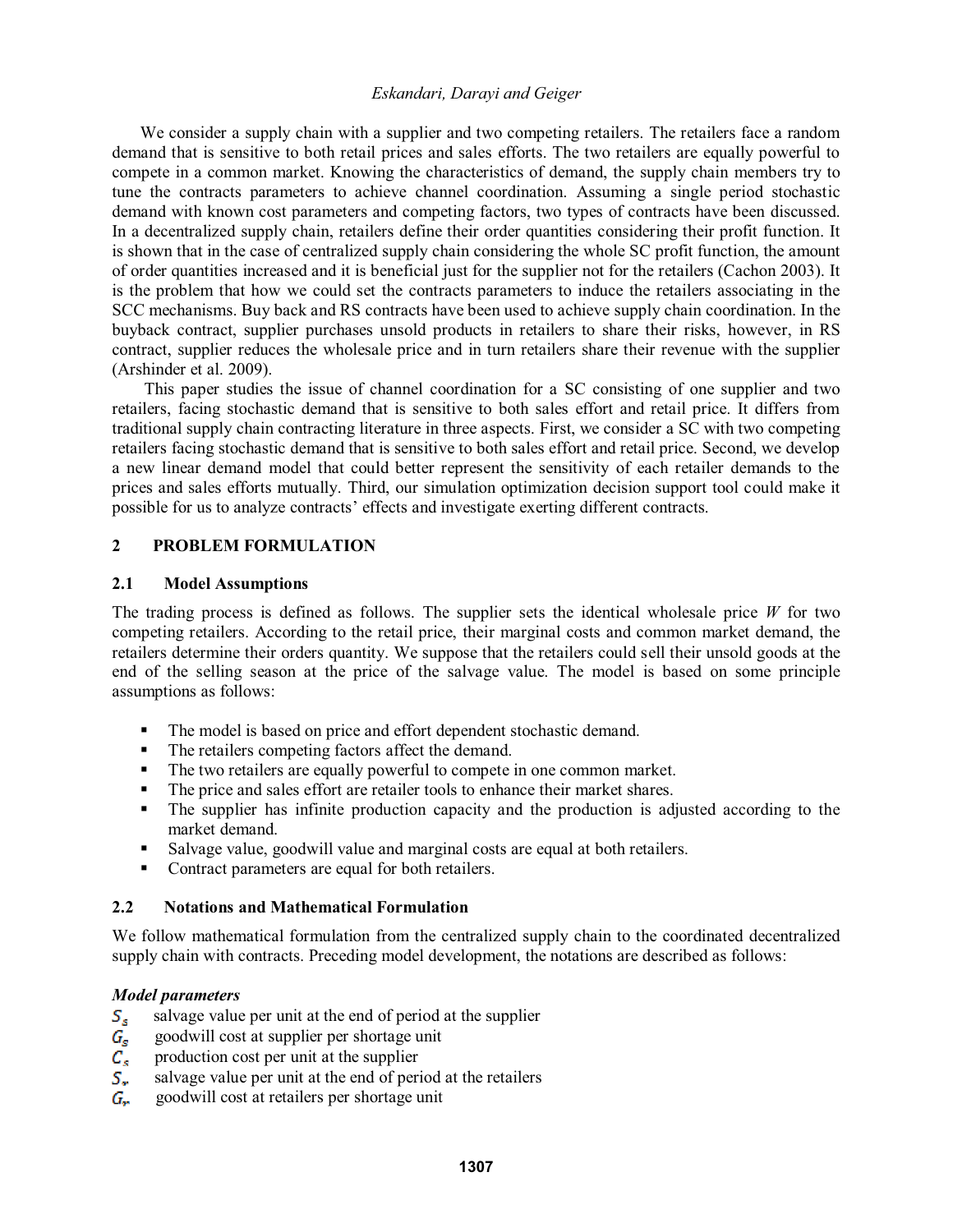We consider a supply chain with a supplier and two competing retailers. The retailers face a random demand that is sensitive to both retail prices and sales efforts. The two retailers are equally powerful to compete in a common market. Knowing the characteristics of demand, the supply chain members try to tune the contracts parameters to achieve channel coordination. Assuming a single period stochastic demand with known cost parameters and competing factors, two types of contracts have been discussed. In a decentralized supply chain, retailers define their order quantities considering their profit function. It is shown that in the case of centralized supply chain considering the whole SC profit function, the amount of order quantities increased and it is beneficial just for the supplier not for the retailers (Cachon 2003). It is the problem that how we could set the contracts parameters to induce the retailers associating in the SCC mechanisms. Buy back and RS contracts have been used to achieve supply chain coordination. In the buyback contract, supplier purchases unsold products in retailers to share their risks, however, in RS contract, supplier reduces the wholesale price and in turn retailers share their revenue with the supplier (Arshinder et al. 2009).

 This paper studies the issue of channel coordination for a SC consisting of one supplier and two retailers, facing stochastic demand that is sensitive to both sales effort and retail price. It differs from traditional supply chain contracting literature in three aspects. First, we consider a SC with two competing retailers facing stochastic demand that is sensitive to both sales effort and retail price. Second, we develop a new linear demand model that could better represent the sensitivity of each retailer demands to the prices and sales efforts mutually. Third, our simulation optimization decision support tool could make it possible for us to analyze contracts' effects and investigate exerting different contracts.

## **2 PROBLEM FORMULATION**

### **2.1 Model Assumptions**

The trading process is defined as follows. The supplier sets the identical wholesale price *W* for two competing retailers. According to the retail price, their marginal costs and common market demand, the retailers determine their orders quantity. We suppose that the retailers could sell their unsold goods at the end of the selling season at the price of the salvage value. The model is based on some principle assumptions as follows:

- -The model is based on price and effort dependent stochastic demand.
- -The retailers competing factors affect the demand.
- The two retailers are equally powerful to compete in one common market.
- -The price and sales effort are retailer tools to enhance their market shares.
- The supplier has infinite production capacity and the production is adjusted according to the market demand.
- -Salvage value, goodwill value and marginal costs are equal at both retailers.
- -Contract parameters are equal for both retailers.

## **2.2 Notations and Mathematical Formulation**

We follow mathematical formulation from the centralized supply chain to the coordinated decentralized supply chain with contracts. Preceding model development, the notations are described as follows:

## *Model parameters*

- $S<sub>s</sub>$  salvage value per unit at the end of period at the supplier
- $G_s$  goodwill cost at supplier per shortage unit  $C_s$  production cost per unit at the supplier
- 
- $C_s$  production cost per unit at the supplier<br> $S_r$  salvage value per unit at the end of peri salvage value per unit at the end of period at the retailers
- $G<sub>r</sub>$  goodwill cost at retailers per shortage unit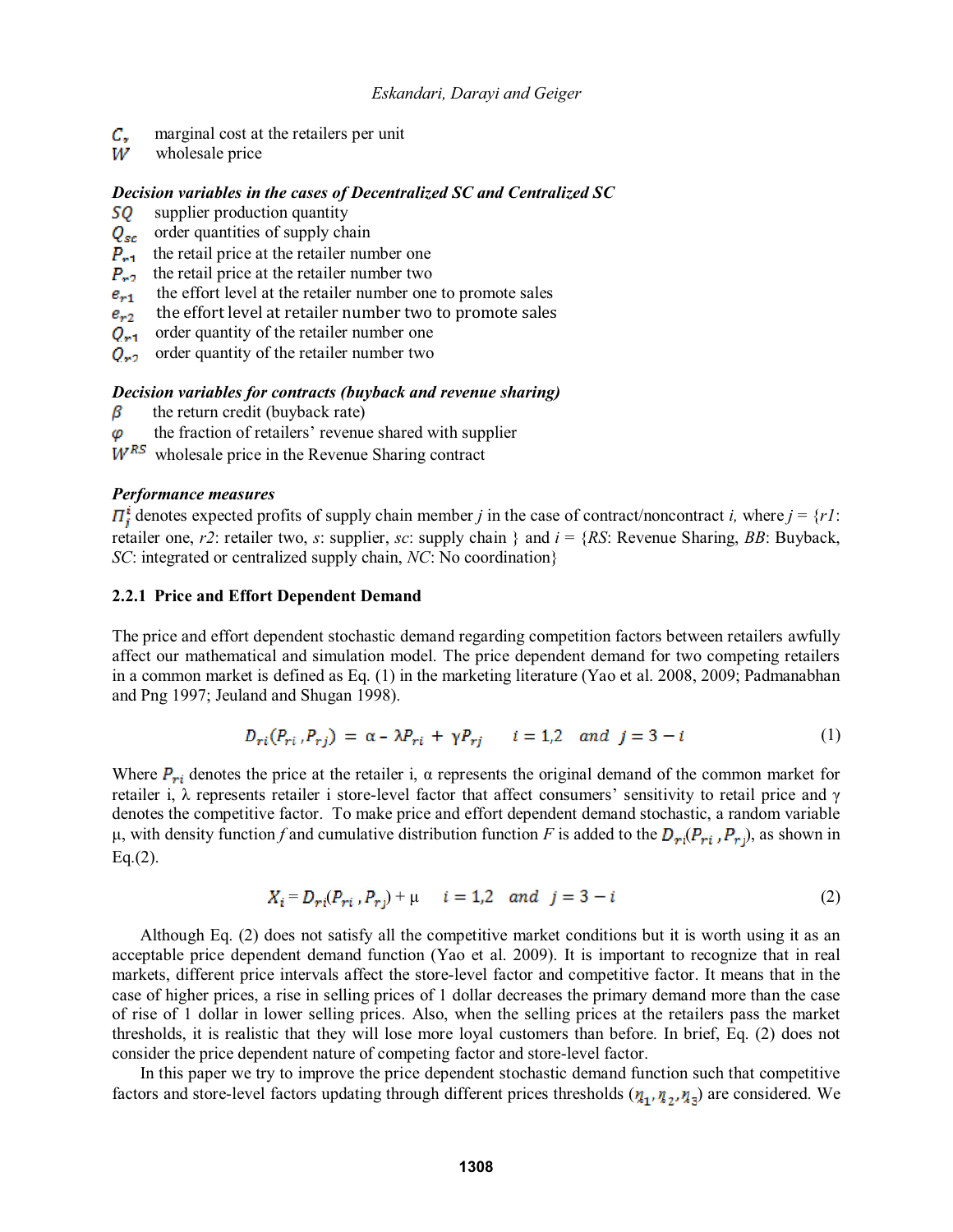- $\mathcal{C}_{\bullet}$  marginal cost at the retailers per unit
- $W$  wholesale price

#### *Decision variables in the cases of Decentralized SC and Centralized SC*

- **SQ** supplier production quantity
- $Q_{\rm sc}$  order quantities of supply chain
- $P_{r1}$  the retail price at the retailer number one
- $P_{r2}$  the retail price at the retailer number two
- $\epsilon_{r1}$  the effort level at the retailer number one to promote sales
- $e_{r2}$  the effort level at retailer number two to promote sales
- $Q_{r1}$  order quantity of the retailer number one
- $Q_{r2}$  order quantity of the retailer number two

### *Decision variables for contracts (buyback and revenue sharing)*

- $\beta$  the return credit (buyback rate)
- the fraction of retailers' revenue shared with supplier

 $W^{RS}$  wholesale price in the Revenue Sharing contract

### *Performance measures*

 $\Pi_i^i$  denotes expected profits of supply chain member *j* in the case of contract/noncontract *i*, where  $j = \{r\}$ : retailer one, *r2*: retailer two, *s*: supplier, *sc*: supply chain } and *i* = {*RS*: Revenue Sharing, *BB*: Buyback, *SC*: integrated or centralized supply chain, *NC*: No coordination}

#### **2.2.1 Price and Effort Dependent Demand**

The price and effort dependent stochastic demand regarding competition factors between retailers awfully affect our mathematical and simulation model. The price dependent demand for two competing retailers in a common market is defined as Eq. (1) in the marketing literature (Yao et al. 2008, 2009; Padmanabhan and Png 1997; Jeuland and Shugan 1998).

$$
D_{ri}(P_{ri}, P_{rj}) = \alpha - \lambda P_{ri} + \gamma P_{ri} \qquad i = 1,2 \quad and \quad j = 3 - i \tag{1}
$$

Where  $P_{ri}$  denotes the price at the retailer i,  $\alpha$  represents the original demand of the common market for retailer i,  $\lambda$  represents retailer i store-level factor that affect consumers' sensitivity to retail price and  $\gamma$ denotes the competitive factor. To make price and effort dependent demand stochastic, a random variable  $\mu$ , with density function *f* and cumulative distribution function *F* is added to the  $D_{ri}(P_{ri}, P_{ri})$ , as shown in  $Eq.(2)$ .

$$
X_i = D_{ri}(P_{ri}, P_{rj}) + \mu \qquad i = 1,2 \quad and \quad j = 3 - i \tag{2}
$$

Although Eq. (2) does not satisfy all the competitive market conditions but it is worth using it as an acceptable price dependent demand function (Yao et al. 2009). It is important to recognize that in real markets, different price intervals affect the store-level factor and competitive factor. It means that in the case of higher prices, a rise in selling prices of 1 dollar decreases the primary demand more than the case of rise of 1 dollar in lower selling prices. Also, when the selling prices at the retailers pass the market thresholds, it is realistic that they will lose more loyal customers than before. In brief, Eq. (2) does not consider the price dependent nature of competing factor and store-level factor.

In this paper we try to improve the price dependent stochastic demand function such that competitive factors and store-level factors updating through different prices thresholds  $(\eta_1, \eta_2, \eta_3)$  are considered. We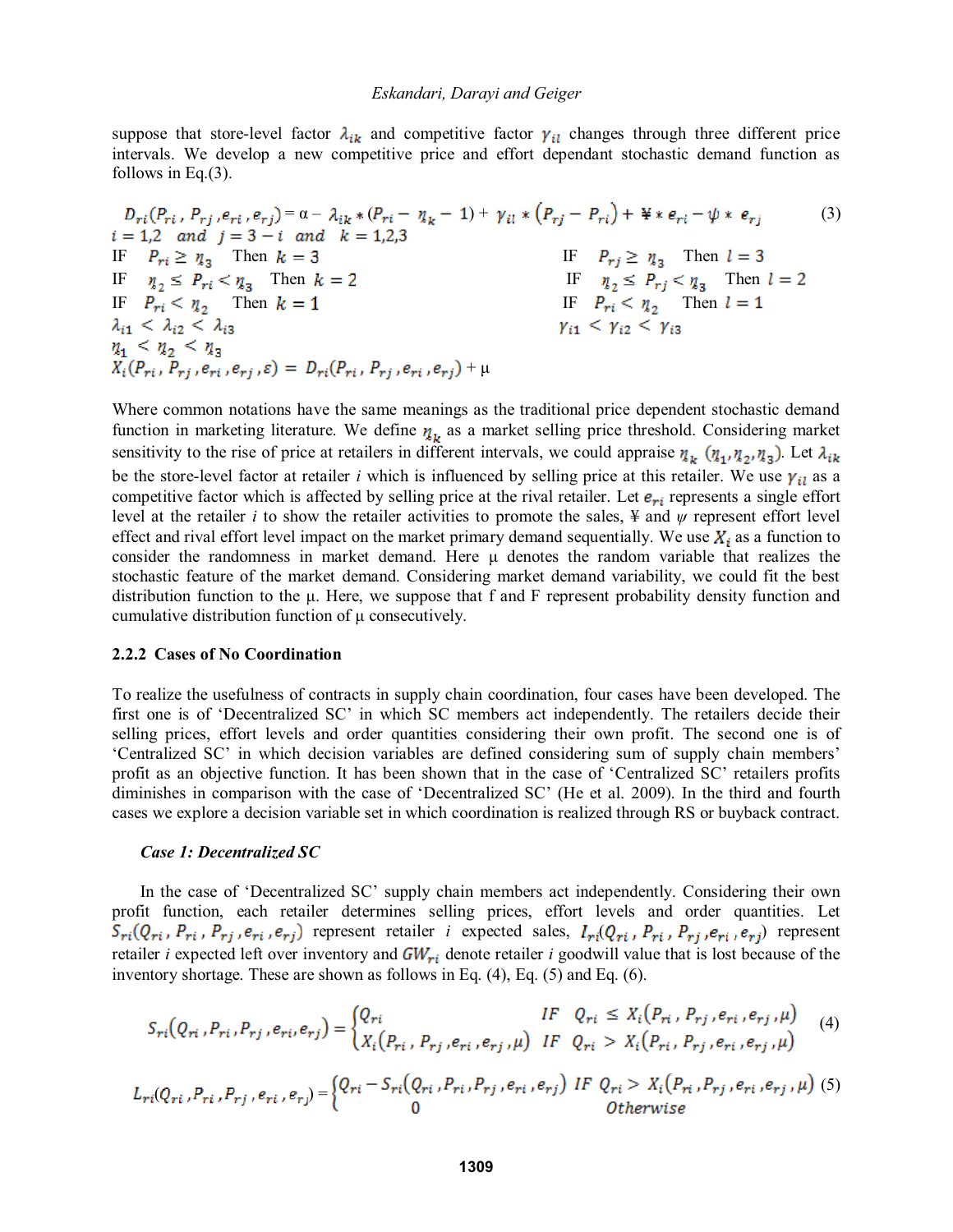suppose that store-level factor  $\lambda_{ik}$  and competitive factor  $\gamma_{il}$  changes through three different price intervals. We develop a new competitive price and effort dependant stochastic demand function as follows in Eq.(3).

$$
D_{ri}(P_{ri}, P_{rj}, e_{ri}, e_{rj}) = \alpha - \lambda_{ik} * (P_{ri} - \eta_k - 1) + \gamma_{il} * (P_{rj} - P_{ri}) + \Psi * e_{ri} - \psi * e_{rj}
$$
(3)  
\n $i = 1,2$  and  $j = 3 - i$  and  $k = 1,2,3$   
\nIf  $P_{ri} \ge \eta_3$  Then  $k = 3$   
\nIf  $P_{ri} \ge \eta_3$  Then  $k = 3$   
\nIf  $P_{rj} \ge \eta_3$  Then  $l = 3$   
\nIf  $\eta_2 \le P_{ri} < \eta_3$  Then  $k = 2$   
\nIf  $P_{ri} < \eta_2$  Then  $l = 2$   
\nIf  $P_{ri} < \eta_2$  Then  $l = 1$   
\n $\lambda_{i1} < \lambda_{i2} < \lambda_{i3}$  Then  $l = 1$   
\n $\lambda_{i1} < \lambda_{i2} < \lambda_{i3}$  then  $l = 1$   
\n $\lambda_{i1} < \lambda_{i2} < \lambda_{i3}$  then  $l = 1$   
\n $\lambda_{i1} < \gamma_{i2} < \gamma_{i3}$   
\n $\lambda_{i1} < \gamma_{i2} < \gamma_{i3}$   
\n $\lambda_{i1} < \gamma_{i2} < \gamma_{i3}$   
\n $\lambda_{i2} < \gamma_{i3}$ 

Where common notations have the same meanings as the traditional price dependent stochastic demand function in marketing literature. We define  $\eta_{\mu}$  as a market selling price threshold. Considering market sensitivity to the rise of price at retailers in different intervals, we could appraise  $\eta_k$   $(\eta_1, \eta_2, \eta_3)$ . Let  $\lambda_{ik}$ be the store-level factor at retailer *i* which is influenced by selling price at this retailer. We use  $\gamma_{il}$  as a competitive factor which is affected by selling price at the rival retailer. Let  $e_{ri}$  represents a single effort level at the retailer *i* to show the retailer activities to promote the sales,  $\frac{1}{2}$  and  $\frac{1}{2}$  represent effort level effect and rival effort level impact on the market primary demand sequentially. We use  $X_i$  as a function to consider the randomness in market demand. Here  $\mu$  denotes the random variable that realizes the stochastic feature of the market demand. Considering market demand variability, we could fit the best distribution function to the  $\mu$ . Here, we suppose that f and F represent probability density function and cumulative distribution function of  $\mu$  consecutively.

#### **2.2.2 Cases of No Coordination**

To realize the usefulness of contracts in supply chain coordination, four cases have been developed. The first one is of 'Decentralized SC' in which SC members act independently. The retailers decide their selling prices, effort levels and order quantities considering their own profit. The second one is of 'Centralized SC' in which decision variables are defined considering sum of supply chain members' profit as an objective function. It has been shown that in the case of 'Centralized SC' retailers profits diminishes in comparison with the case of 'Decentralized SC' (He et al. 2009). In the third and fourth cases we explore a decision variable set in which coordination is realized through RS or buyback contract.

#### *Case 1: Decentralized SC*

In the case of 'Decentralized SC' supply chain members act independently. Considering their own profit function, each retailer determines selling prices, effort levels and order quantities. Let  $S_{ri}(Q_{ri}, P_{ri}, P_{rj}, e_{ri}, e_{rj})$  represent retailer *i* expected sales,  $I_{ri}(Q_{ri}, P_{ri}, P_{ri}, e_{ri}, e_{rj})$  represent retailer *i* expected left over inventory and  $GW_{ri}$  denote retailer *i* goodwill value that is lost because of the inventory shortage. These are shown as follows in Eq. (4), Eq. (5) and Eq. (6).

$$
S_{ri}(Q_{ri}, P_{ri}, P_{rj}, e_{ri}, e_{rj}) = \begin{cases} Q_{ri} & I \in Q_{ri} \le X_i(P_{ri}, P_{rj}, e_{ri}, e_{rj}, \mu) \\ X_i(P_{ri}, P_{rj}, e_{ri}, e_{rj}, \mu) & I \in Q_{ri} > X_i(P_{ri}, P_{rj}, e_{ri}, e_{rj}, \mu) \end{cases}
$$
(4)

$$
L_{ri}(Q_{ri}, P_{ri}, P_{rj}, e_{ri}, e_{rj}) =\begin{cases} Q_{ri} - S_{ri}(Q_{ri}, P_{ri}, P_{rj}, e_{ri}, e_{rj}) & \text{if } Q_{ri} > X_i(P_{ri}, P_{rj}, e_{ri}, e_{rj}, \mu) \\ 0 & \text{otherwise} \end{cases}
$$
(5)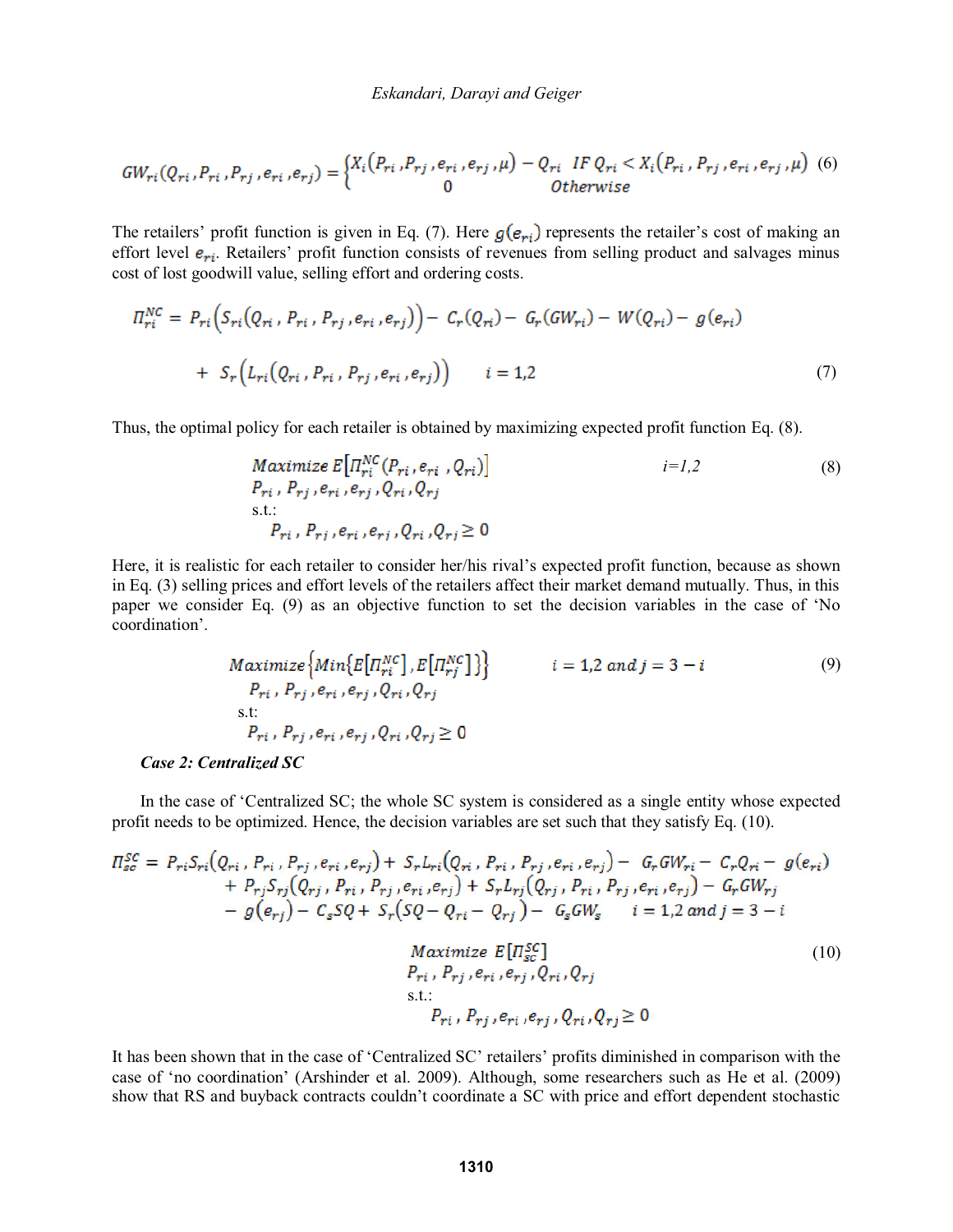$$
GW_{ri}(Q_{ri}, P_{ri}, P_{rj}, e_{ri}, e_{rj}) = \begin{cases} X_i(P_{ri}, P_{rj}, e_{ri}, e_{rj}, \mu) - Q_{ri} & \text{IF } Q_{ri} < X_i(P_{ri}, P_{rj}, e_{ri}, e_{rj}, \mu) \\ 0 & \text{Otherwise} \end{cases} \tag{6}
$$

The retailers' profit function is given in Eq. (7). Here  $g(e_{ri})$  represents the retailer's cost of making an effort level  $e_{ri}$ . Retailers' profit function consists of revenues from selling product and salvages minus cost of lost goodwill value, selling effort and ordering costs.

$$
\Pi_{ri}^{NC} = P_{ri} \Big( S_{ri} (Q_{ri}, P_{ri}, P_{rj}, e_{ri}, e_{rj}) \Big) - C_r (Q_{ri}) - G_r (GW_{ri}) - W(Q_{ri}) - g(e_{ri}) \n+ S_r \Big( L_{ri} (Q_{ri}, P_{ri}, P_{rj}, e_{ri}, e_{rj}) \Big) \qquad i = 1,2
$$
\n(7)

Thus, the optimal policy for each retailer is obtained by maximizing expected profit function Eq. (8).

$$
Maximize E\left[\Pi_{ri}^{NC}(P_{ri}, e_{ri}, Q_{ri})\right]
$$
  
\n
$$
P_{ri}, P_{rj}, e_{ri}, e_{rj}, Q_{ri}, Q_{rj}
$$
  
\ns.t..  
\n
$$
P_{ri}, P_{rj}, e_{ri}, e_{rj}, Q_{ri}, Q_{rj} \ge 0
$$
  
\n(8)

Here, it is realistic for each retailer to consider her/his rival's expected profit function, because as shown in Eq. (3) selling prices and effort levels of the retailers affect their market demand mutually. Thus, in this paper we consider Eq.  $(9)$  as an objective function to set the decision variables in the case of 'No coordination'.

$$
Maximize \{Min\{E[T_{ri}^{NC}], E[T_{ri}^{NC}]\}\} \qquad i = 1, 2 \text{ and } j = 3 - i
$$
  
\n
$$
P_{ri}, P_{rj}, e_{ri}, e_{rj}, Q_{ri}, Q_{rj}
$$
  
\ns.t:  
\n
$$
P_{ri}, P_{rj}, e_{ri}, e_{rj}, Q_{ri}, Q_{rj} \ge 0
$$
 (9)

### *Case 2: Centralized SC*

In the case of 'Centralized SC; the whole SC system is considered as a single entity whose expected profit needs to be optimized. Hence, the decision variables are set such that they satisfy Eq. (10).

$$
II_{sc}^{SC} = P_{ri} S_{ri} (Q_{ri}, P_{ri}, P_{rj}, e_{ri}, e_{rj}) + S_{r} L_{ri} (Q_{ri}, P_{ri}, P_{rj}, e_{ri}, e_{rj}) - G_{r} G W_{ri} - C_{r} Q_{ri} - g(e_{ri}) + P_{rj} S_{rj} (Q_{rj}, P_{ri}, P_{rj}, e_{ri}, e_{rj}) + S_{r} L_{rj} (Q_{rj}, P_{ri}, P_{rj}, e_{ri}, e_{rj}) - G_{r} G W_{rj} - g(e_{rj}) - C_{s} SQ + S_{r} (SQ - Q_{ri} - Q_{rj}) - G_{s} G W_{s} \qquad i = 1,2 \text{ and } j = 3 - i \nMaximize  $E[I_{sc}^{SC}]$   
\n
$$
P_{ri}, P_{rj}, e_{ri}, e_{rj}, Q_{ri}, Q_{rj} s.t.
$$
\n
$$
P_{ri}, P_{rj}, e_{ri}, e_{rj}, Q_{ri}, Q_{rj} \ge 0
$$
\n(10)
$$

It has been shown that in the case of 'Centralized SC' retailers' profits diminished in comparison with the case of 'no coordination' (Arshinder et al. 2009). Although, some researchers such as He et al. (2009) show that RS and buyback contracts couldn't coordinate a SC with price and effort dependent stochastic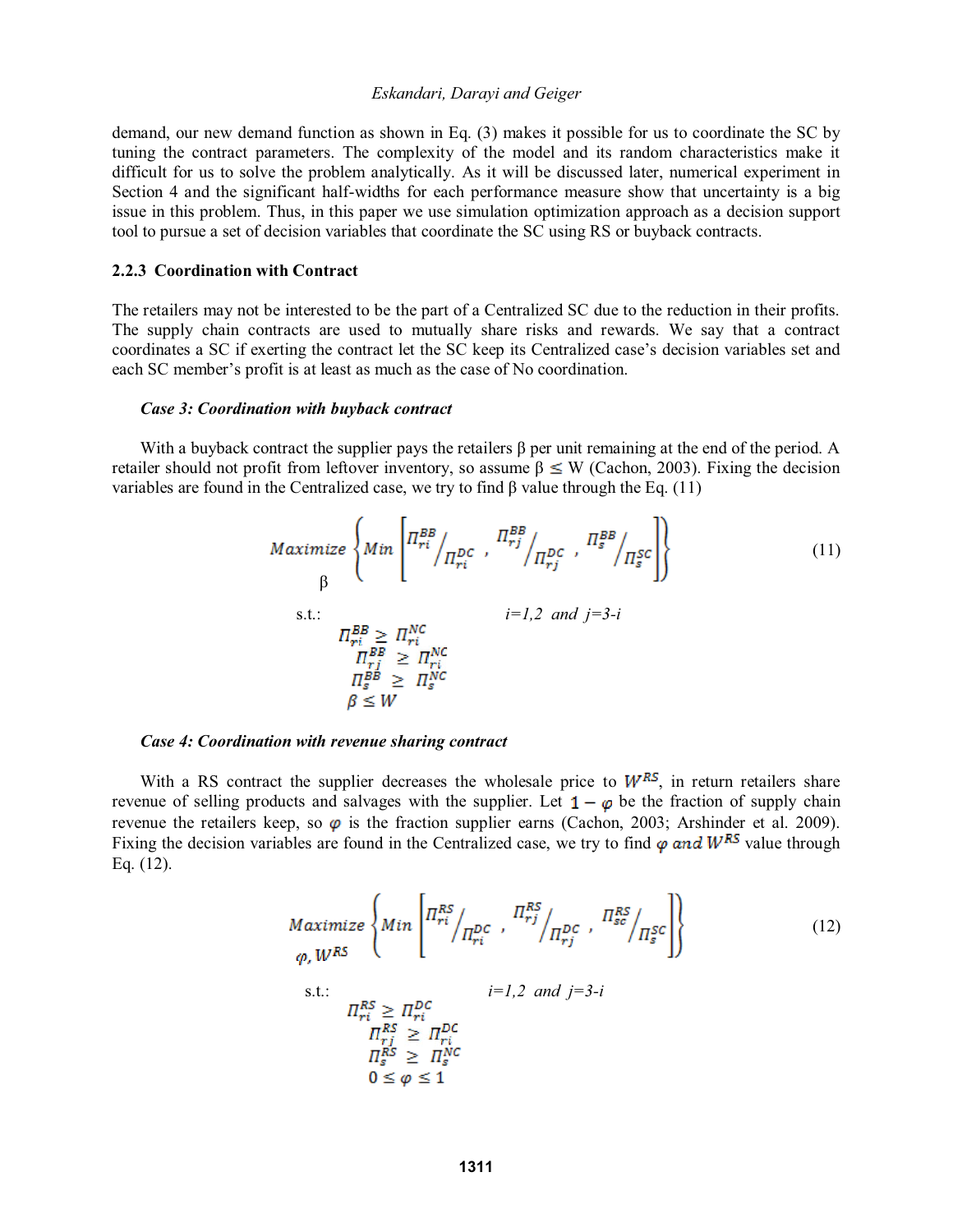demand, our new demand function as shown in Eq. (3) makes it possible for us to coordinate the SC by tuning the contract parameters. The complexity of the model and its random characteristics make it difficult for us to solve the problem analytically. As it will be discussed later, numerical experiment in Section 4 and the significant half-widths for each performance measure show that uncertainty is a big issue in this problem. Thus, in this paper we use simulation optimization approach as a decision support tool to pursue a set of decision variables that coordinate the SC using RS or buyback contracts.

#### **2.2.3 Coordination with Contract**

The retailers may not be interested to be the part of a Centralized SC due to the reduction in their profits. The supply chain contracts are used to mutually share risks and rewards. We say that a contract coordinates a SC if exerting the contract let the SC keep its Centralized case's decision variables set and each SC member's profit is at least as much as the case of No coordination.

#### *Case 3: Coordination with buyback contract*

With a buyback contract the supplier pays the retailers  $\beta$  per unit remaining at the end of the period. A retailer should not profit from leftover inventory, so assume  $\beta \leq W$  (Cachon, 2003). Fixing the decision variables are found in the Centralized case, we try to find  $\beta$  value through the Eq. (11)

$$
Maximize \left\{ Min \left\{ \frac{\pi_{ri}^{BB}}{\pi_{ri}} / \frac{\pi_{pj}^{DC}}{\pi_{ri}} \right\}, \frac{\pi_{sj}^{BB}}{\pi_{rj}^{DC}} \right\}
$$
\n
$$
= 1, 2 \text{ and } j = 3-i
$$
\n
$$
= 1, 2 \text{ and } j = 3-i
$$
\n
$$
= 1, 2 \text{ and } j = 3-i
$$
\n
$$
= 1, 2 \text{ and } j = 3-i
$$
\n
$$
= 1, 2 \text{ and } j = 3-i
$$
\n
$$
= 1, 2 \text{ and } j = 3-i
$$
\n
$$
= 1, 2 \text{ and } j = 3-i
$$
\n
$$
= 1, 2 \text{ and } j = 3-i
$$
\n
$$
= 1, 2 \text{ and } j = 3-i
$$
\n
$$
= 1, 2 \text{ and } j = 3-i
$$
\n
$$
= 1, 2 \text{ and } j = 3-i
$$
\n
$$
= 1, 2 \text{ and } j = 3-i
$$
\n
$$
= 1, 2 \text{ and } j = 3-i
$$
\n
$$
= 1, 2 \text{ and } j = 3-i
$$
\n
$$
= 1, 2 \text{ and } j = 3-i
$$
\n
$$
= 1, 2 \text{ and } j = 3-i
$$
\n
$$
= 1, 2 \text{ and } j = 3-i
$$
\n
$$
= 1, 2 \text{ and } j = 3-i
$$
\n
$$
= 1, 2 \text{ and } j = 3-i
$$
\n
$$
= 1, 2 \text{ and } j = 3-i
$$
\n
$$
= 1, 2 \text{ and } j = 3-i
$$
\n
$$
= 1, 2 \text{ and } j = 3-i
$$
\n
$$
= 1, 2 \text{ and } j = 3-i
$$
\n
$$
= 1, 2 \text{ and } j = 3-i
$$
\n
$$
= 1, 2 \text{ and } j = 3-i
$$
\n
$$
= 1, 2 \text{ and } j = 3-i
$$
\n
$$
= 1,
$$

#### *Case 4: Coordination with revenue sharing contract*

With a RS contract the supplier decreases the wholesale price to  $W^{RS}$ , in return retailers share revenue of selling products and salvages with the supplier. Let  $1 - \varphi$  be the fraction of supply chain revenue the retailers keep, so  $\varphi$  is the fraction supplier earns (Cachon, 2003; Arshinder et al. 2009). Fixing the decision variables are found in the Centralized case, we try to find  $\varphi$  and  $W^{RS}$  value through Eq. (12).

$$
Maximize \left\{ Min \left\{ \frac{\pi_{ri}^{RS}}{m_{ri}} / \frac{R_{rj}^{DC}}{m_{ri}^{DC}}, \frac{\pi_{sc}^{RS}}{m_{rj}^{SC}} / \frac{R_{sc}^{SC}}{m_{s}^{SC}} \right\} \right\}
$$
\n
$$
S.t.: \quad \lim_{\substack{\pi_{ri}^{RS} \geq \pi_{ri}^{DC} \\ \pi_{rj}^{RS} \geq \pi_{ri}^{DC} \\ \pi_{s}^{RS} \geq \pi_{s}^{NC} \\ 0 \leq \varphi \leq 1} \tag{12}
$$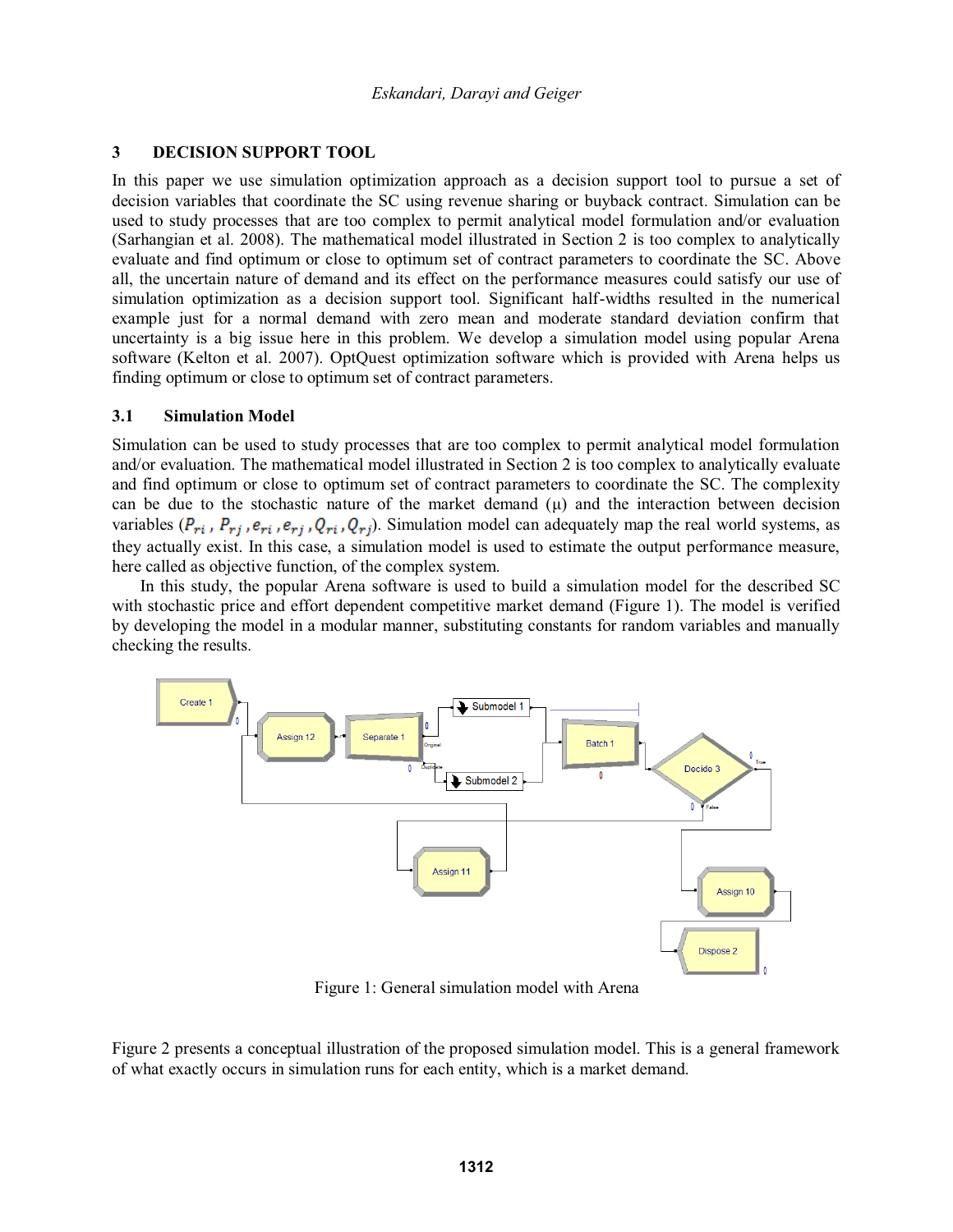## **3 DECISION SUPPORT TOOL**

In this paper we use simulation optimization approach as a decision support tool to pursue a set of decision variables that coordinate the SC using revenue sharing or buyback contract. Simulation can be used to study processes that are too complex to permit analytical model formulation and/or evaluation (Sarhangian et al. 2008). The mathematical model illustrated in Section 2 is too complex to analytically evaluate and find optimum or close to optimum set of contract parameters to coordinate the SC. Above all, the uncertain nature of demand and its effect on the performance measures could satisfy our use of simulation optimization as a decision support tool. Significant half-widths resulted in the numerical example just for a normal demand with zero mean and moderate standard deviation confirm that uncertainty is a big issue here in this problem. We develop a simulation model using popular Arena software (Kelton et al. 2007). OptQuest optimization software which is provided with Arena helps us finding optimum or close to optimum set of contract parameters.

### **3.1 Simulation Model**

Simulation can be used to study processes that are too complex to permit analytical model formulation and/or evaluation. The mathematical model illustrated in Section 2 is too complex to analytically evaluate and find optimum or close to optimum set of contract parameters to coordinate the SC. The complexity can be due to the stochastic nature of the market demand  $(\mu)$  and the interaction between decision variables  $(P_{ri}, P_{rj}, e_{ri}, e_{rj}, Q_{ri}, Q_{rj})$ . Simulation model can adequately map the real world systems, as they actually exist. In this case, a simulation model is used to estimate the output performance measure, here called as objective function, of the complex system.

In this study, the popular Arena software is used to build a simulation model for the described SC with stochastic price and effort dependent competitive market demand (Figure 1). The model is verified by developing the model in a modular manner, substituting constants for random variables and manually checking the results.



Figure 1: General simulation model with Arena

Figure 2 presents a conceptual illustration of the proposed simulation model. This is a general framework of what exactly occurs in simulation runs for each entity, which is a market demand.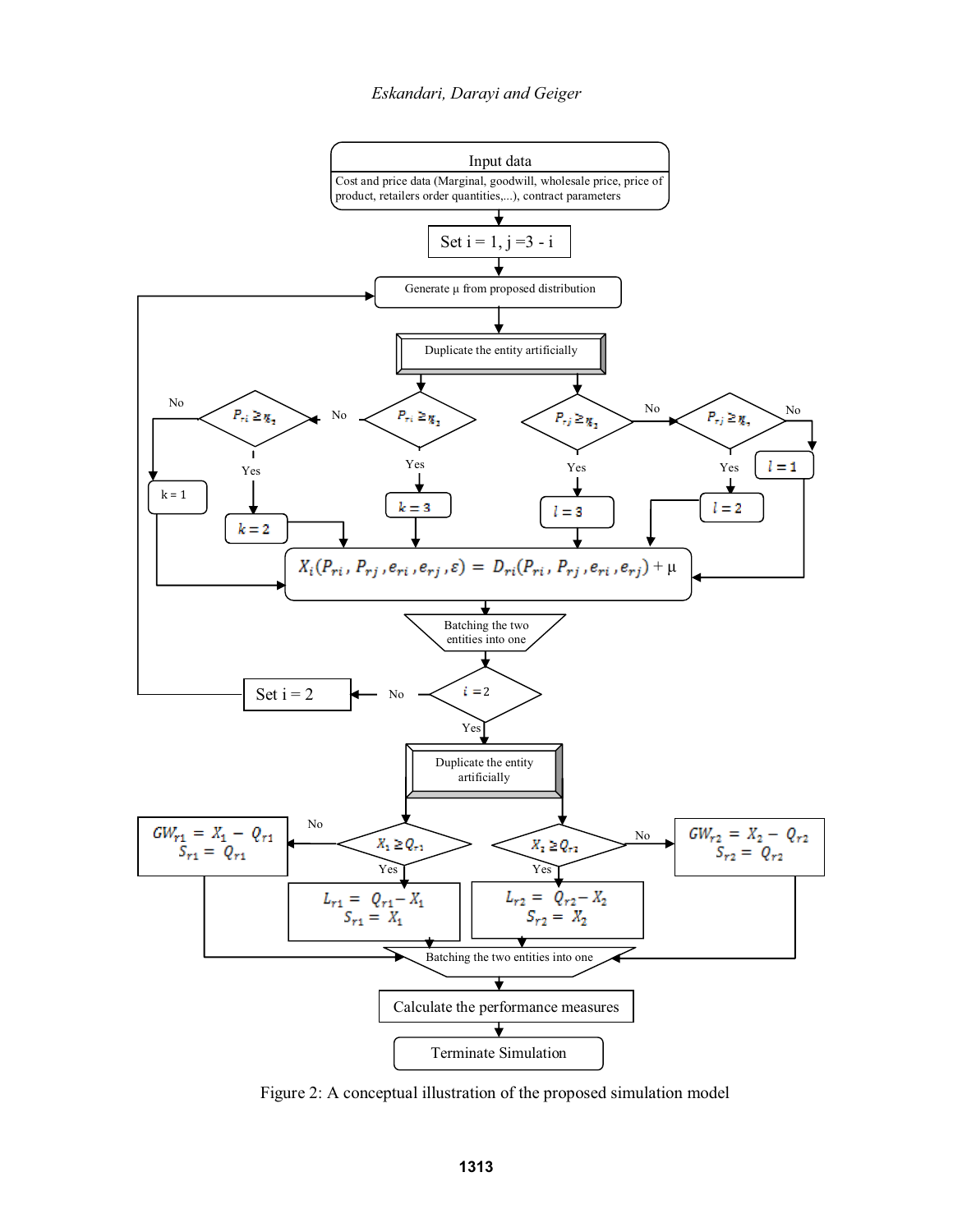

Figure 2: A conceptual illustration of the proposed simulation model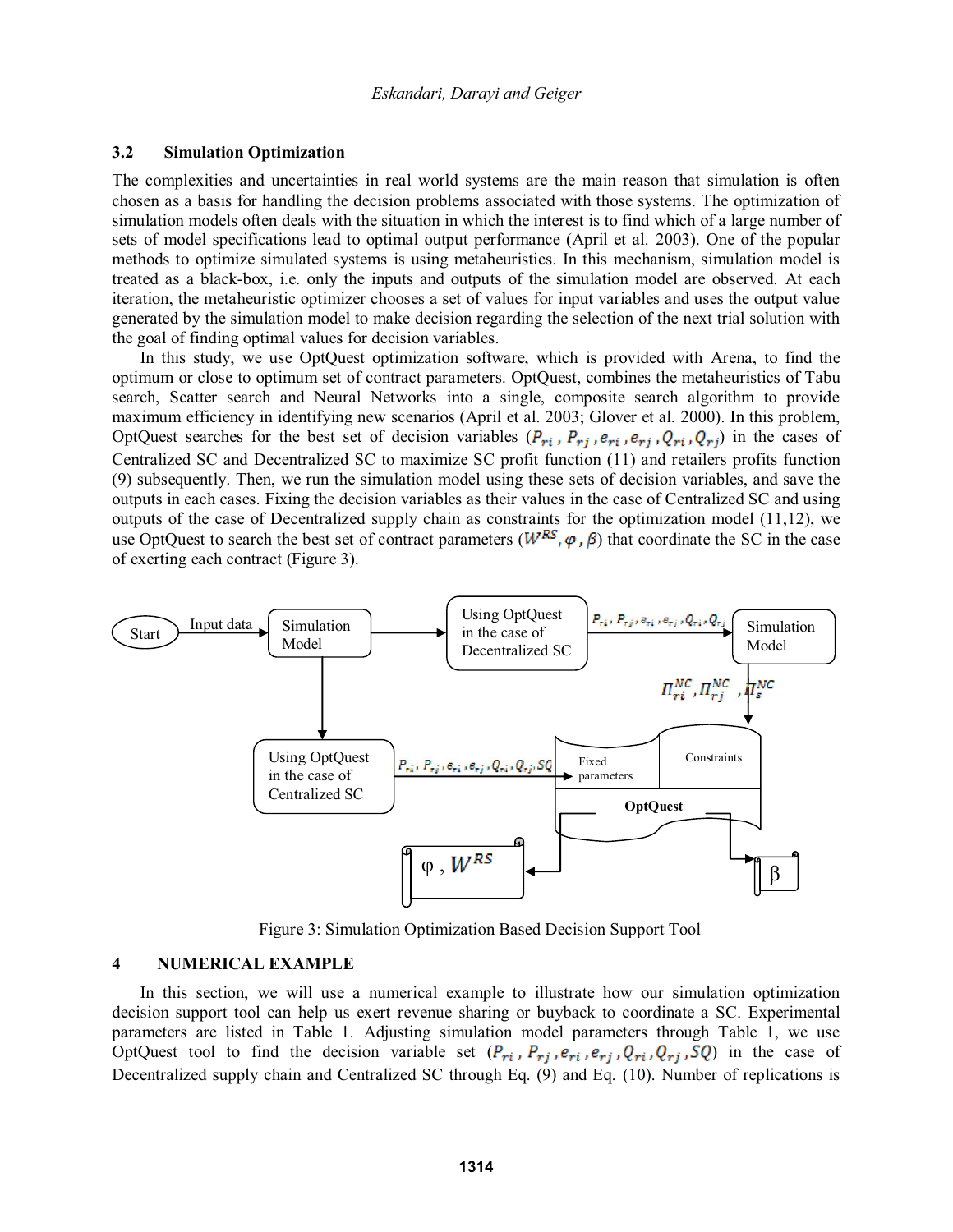#### **3.2 Simulation Optimization**

The complexities and uncertainties in real world systems are the main reason that simulation is often chosen as a basis for handling the decision problems associated with those systems. The optimization of simulation models often deals with the situation in which the interest is to find which of a large number of sets of model specifications lead to optimal output performance (April et al. 2003). One of the popular methods to optimize simulated systems is using metaheuristics. In this mechanism, simulation model is treated as a black-box, i.e. only the inputs and outputs of the simulation model are observed. At each iteration, the metaheuristic optimizer chooses a set of values for input variables and uses the output value generated by the simulation model to make decision regarding the selection of the next trial solution with the goal of finding optimal values for decision variables.

In this study, we use OptQuest optimization software, which is provided with Arena, to find the optimum or close to optimum set of contract parameters. OptQuest, combines the metaheuristics of Tabu search, Scatter search and Neural Networks into a single, composite search algorithm to provide maximum efficiency in identifying new scenarios (April et al. 2003; Glover et al. 2000). In this problem, OptQuest searches for the best set of decision variables  $(P_{ri}, P_{rj}, e_{ri}, e_{rj}, Q_{ri}, Q_{rj})$  in the cases of Centralized SC and Decentralized SC to maximize SC profit function (11) and retailers profits function (9) subsequently. Then, we run the simulation model using these sets of decision variables, and save the outputs in each cases. Fixing the decision variables as their values in the case of Centralized SC and using outputs of the case of Decentralized supply chain as constraints for the optimization model (11,12), we use OptQuest to search the best set of contract parameters ( $W^{RS}$ ,  $\varphi$ ,  $\beta$ ) that coordinate the SC in the case of exerting each contract (Figure 3).



Figure 3: Simulation Optimization Based Decision Support Tool

#### **4 NUMERICAL EXAMPLE**

In this section, we will use a numerical example to illustrate how our simulation optimization decision support tool can help us exert revenue sharing or buyback to coordinate a SC. Experimental parameters are listed in Table 1. Adjusting simulation model parameters through Table 1, we use OptQuest tool to find the decision variable set  $(P_{ri}, P_{rj}, e_{ri}, e_{rj}, Q_{ri}, Q_{rj}, SQ)$  in the case of Decentralized supply chain and Centralized SC through Eq. (9) and Eq. (10). Number of replications is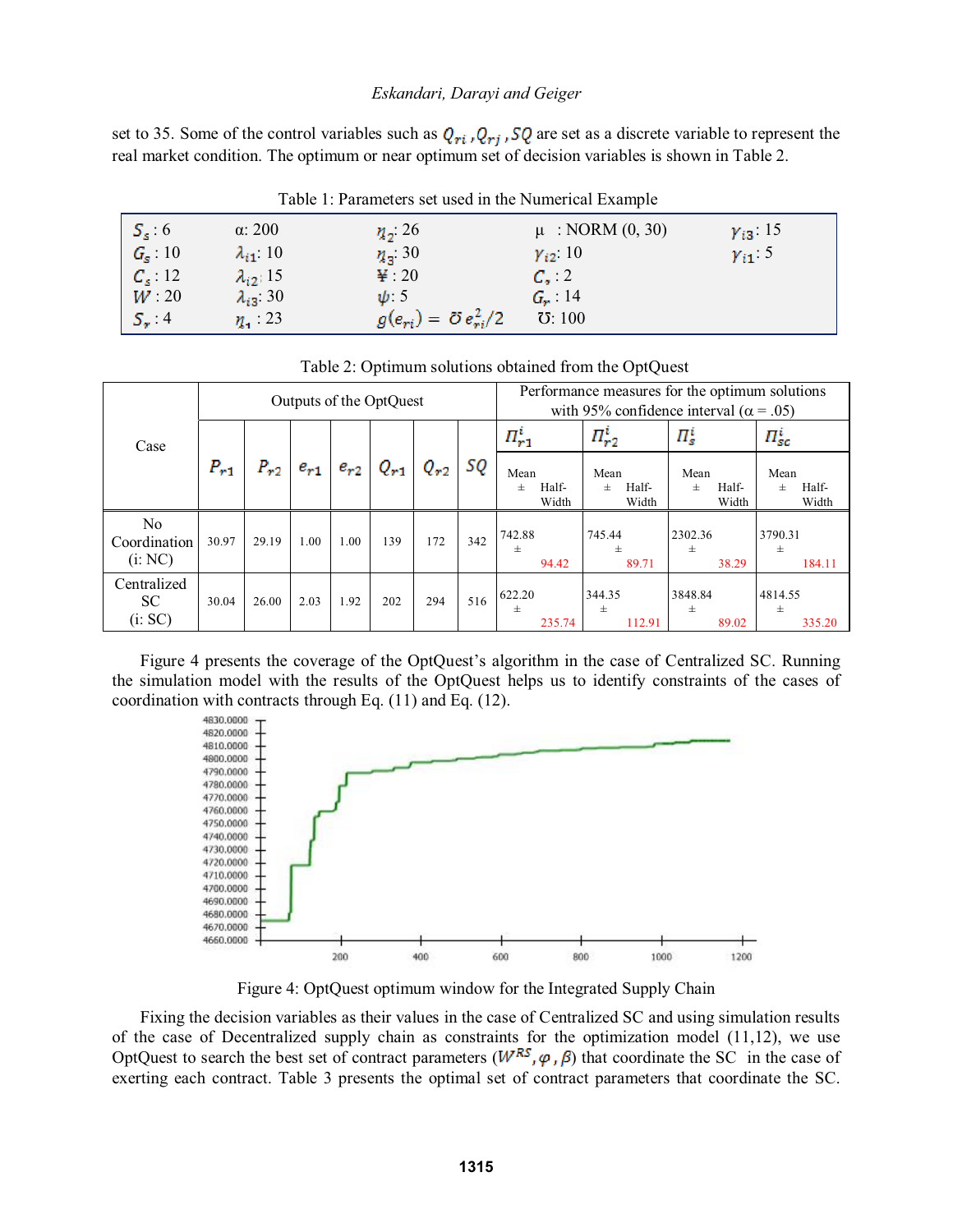set to 35. Some of the control variables such as  $Q_{ri}$ ,  $Q_{rj}$ ,  $SQ$  are set as a discrete variable to represent the real market condition. The optimum or near optimum set of decision variables is shown in Table 2.

| Table 1. Parameters set used in the Numerical Example |                    |                                       |                      |             |  |  |  |  |
|-------------------------------------------------------|--------------------|---------------------------------------|----------------------|-------------|--|--|--|--|
| $S_{\rm s}$ 6                                         | $\alpha$ : 200     | $n_{\rm g}$ : 26                      | $\mu$ : NORM (0, 30) | $y_{i3}$ 15 |  |  |  |  |
| $Gs$ 10                                               | $\lambda_{i1}$ 10  | $\eta_{\rm m}$ : 30                   | $\gamma_{i2}$ 10     | $y_{i1}$ 5  |  |  |  |  |
| $C_s$ 12                                              | $\lambda_{i2}:$ 15 | $\frac{1}{2}$ : 20                    | $C_{\bullet}$ : 2    |             |  |  |  |  |
| $W$ 20                                                | $\lambda_{i3}$ 30  | $\psi$ : 5                            | $G_{r}$ 14           |             |  |  |  |  |
| $S_r$ 4                                               | $n_{1}:23$         | $g(e_{ri}) = \overline{O} e_{ri}^2/2$ | U: 100               |             |  |  |  |  |

Table 1: Parameters set used in the Numerical Example

| Case                               | Outputs of the OptQuest |          |          |          |          | Performance measures for the optimum solutions |     |                    |                |                             |                     |                |                     |                |
|------------------------------------|-------------------------|----------|----------|----------|----------|------------------------------------------------|-----|--------------------|----------------|-----------------------------|---------------------|----------------|---------------------|----------------|
|                                    |                         |          |          |          |          | with 95% confidence interval ( $\alpha$ = .05) |     |                    |                |                             |                     |                |                     |                |
|                                    | $P_{r1}$                | $P_{T2}$ | $e_{r1}$ | $e_{r2}$ | $Q_{r1}$ | $Q_{r2}$                                       | SQ  | $\Pi_{r1}^i$       |                | $\Pi_{r2}^i$                | $\Pi_s^i$           |                | $\Pi_{sc}^i$        |                |
|                                    |                         |          |          |          |          |                                                |     | Mean<br>$_{\pm}$   | Half-<br>Width | Mean<br>Half-<br>士<br>Width | Mean<br>士           | Half-<br>Width | Mean<br>Ŧ.          | Half-<br>Width |
| No.<br>Coordination<br>(i:NC)      | 30.97                   | 29.19    | 1.00     | 1.00     | 139      | 172                                            | 342 | 742.88<br>$_{\pm}$ | 94.42          | 745.44<br>$_{\pm}$<br>89.71 | 2302.36<br>$_{\pm}$ | 38.29          | 3790.31<br>士        | 184.11         |
| Centralized<br><b>SC</b><br>(i:SC) | 30.04                   | 26.00    | 2.03     | 1.92     | 202      | 294                                            | 516 | 622.20<br>$\pm$    | 235.74         | 344.35<br>士<br>112.91       | 3848.84<br>$\pm$    | 89.02          | 4814.55<br>$^{\pm}$ | 335.20         |

Table 2: Optimum solutions obtained from the OptQuest

Figure 4 presents the coverage of the OptQuest's algorithm in the case of Centralized SC. Running the simulation model with the results of the OptQuest helps us to identify constraints of the cases of coordination with contracts through Eq. (11) and Eq. (12).



Figure 4: OptQuest optimum window for the Integrated Supply Chain

Fixing the decision variables as their values in the case of Centralized SC and using simulation results of the case of Decentralized supply chain as constraints for the optimization model (11,12), we use OptQuest to search the best set of contract parameters  $(W^{RS}, \varphi, \beta)$  that coordinate the SC in the case of exerting each contract. Table 3 presents the optimal set of contract parameters that coordinate the SC.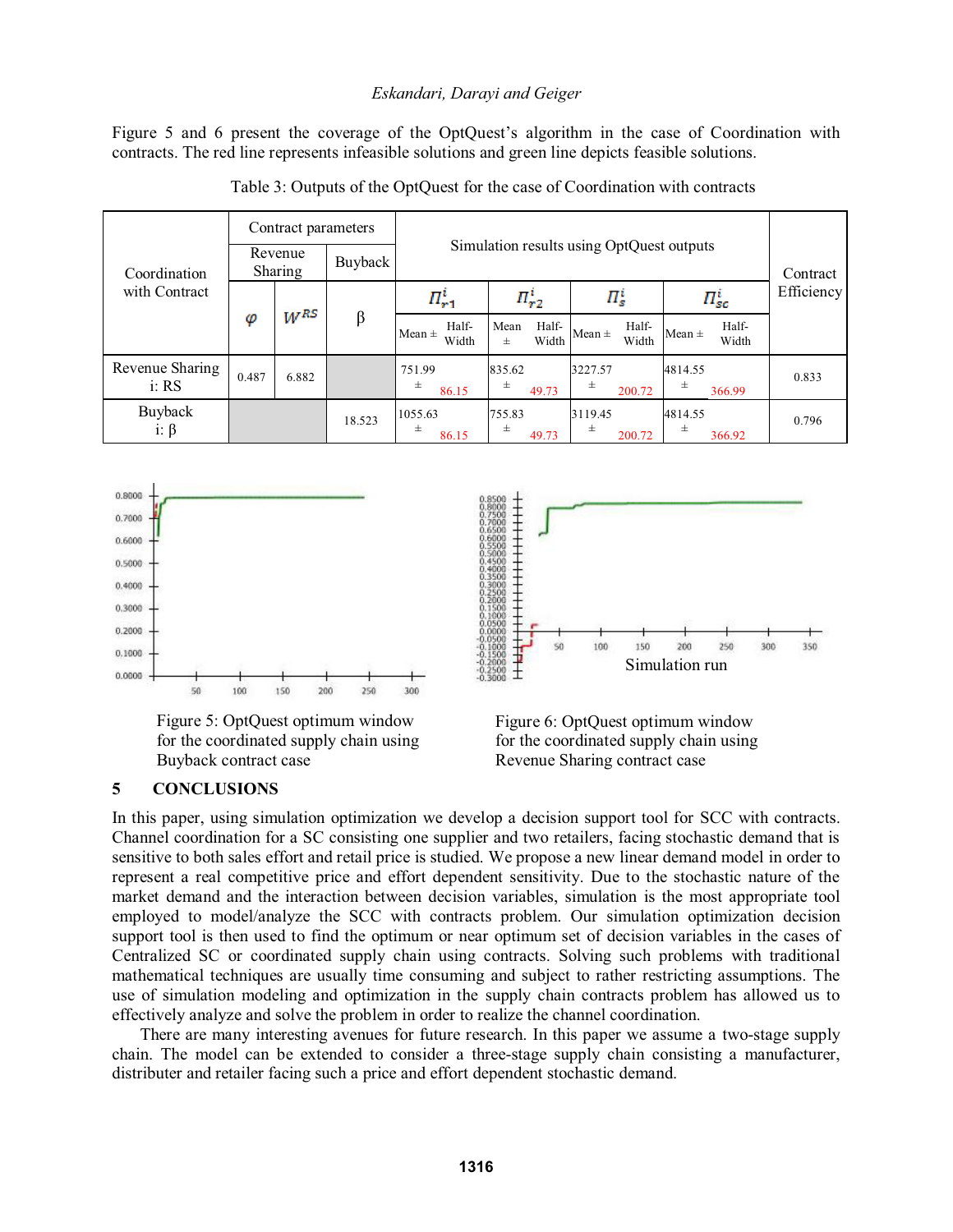Figure 5 and 6 present the coverage of the OptQuest's algorithm in the case of Coordination with contracts. The red line represents infeasible solutions and green line depicts feasible solutions.

| Coordination             | Contract parameters       |          |         | Simulation results using OptQuest outputs |                                              |                              |                              |            |
|--------------------------|---------------------------|----------|---------|-------------------------------------------|----------------------------------------------|------------------------------|------------------------------|------------|
|                          | Revenue<br><b>Sharing</b> |          | Buyback |                                           | Contract                                     |                              |                              |            |
| with Contract            | φ                         | $W^{RS}$ | β       | $\Pi_{r1}^t$                              | Пģ<br>$\Pi_{sc}^i$<br>$\prod_{r=2}^{\infty}$ |                              |                              | Efficiency |
|                          |                           |          |         | Half-<br>Mean $\pm$<br>Width              | Half-<br>Mean<br>Width<br>士                  | Half-<br>Mean $\pm$<br>Width | Half-<br>Mean $\pm$<br>Width |            |
| Revenue Sharing<br>i: RS | 0.487                     | 6.882    |         | 751.99<br>士<br>86.15                      | 835.62<br>士<br>49.73                         | 3227.57<br>土<br>200.72       | 4814.55<br>士<br>366.99       | 0.833      |
| Buyback<br>i: $\beta$    |                           |          | 18.523  | 1055.63<br>士<br>86.15                     | 755.83<br>士<br>49.73                         | 3119.45<br>士<br>200.72       | 4814.55<br>士<br>366.92       | 0.796      |

Table 3: Outputs of the OptQuest for the case of Coordination with contracts



Figure 5: OptQuest optimum window for the coordinated supply chain using Buyback contract case

--------------- $50$ 100 150 200 250 300 350 Simulation run

Figure 6: OptQuest optimum window for the coordinated supply chain using Revenue Sharing contract case

#### **5 CONCLUSIONS**

In this paper, using simulation optimization we develop a decision support tool for SCC with contracts. Channel coordination for a SC consisting one supplier and two retailers, facing stochastic demand that is sensitive to both sales effort and retail price is studied. We propose a new linear demand model in order to represent a real competitive price and effort dependent sensitivity. Due to the stochastic nature of the market demand and the interaction between decision variables, simulation is the most appropriate tool employed to model/analyze the SCC with contracts problem. Our simulation optimization decision support tool is then used to find the optimum or near optimum set of decision variables in the cases of Centralized SC or coordinated supply chain using contracts. Solving such problems with traditional mathematical techniques are usually time consuming and subject to rather restricting assumptions. The use of simulation modeling and optimization in the supply chain contracts problem has allowed us to effectively analyze and solve the problem in order to realize the channel coordination.

There are many interesting avenues for future research. In this paper we assume a two-stage supply chain. The model can be extended to consider a three-stage supply chain consisting a manufacturer, distributer and retailer facing such a price and effort dependent stochastic demand.